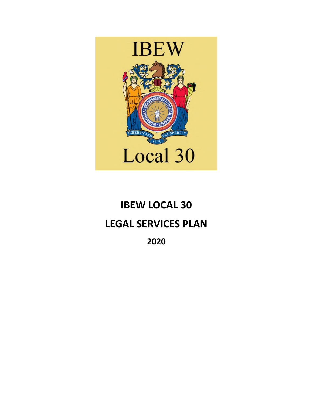

# **IBEW LOCAL 30 LEGAL SERVICES PLAN**

**2020**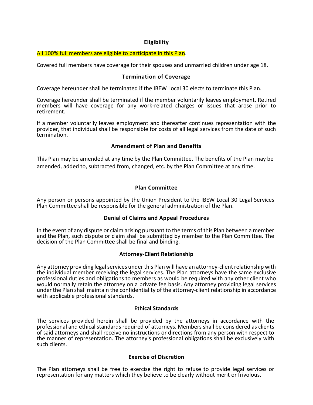# **Eligibility**

#### All 100% full members are eligible to participate in this Plan.

Covered full members have coverage for their spouses and unmarried children under age 18.

#### **Termination of Coverage**

Coverage hereunder shall be terminated if the IBEW Local 30 elects to terminate this Plan.

Coverage hereunder shall be terminated if the member voluntarily leaves employment. Retired members will have coverage for any work-related charges or issues that arose prior to retirement.

If a member voluntarily leaves employment and thereafter continues representation with the provider, that individual shall be responsible for costs of all legal services from the date of such termination.

# **Amendment of Plan and Benefits**

This Plan may be amended at any time by the Plan Committee. The benefits of the Plan may be amended, added to, subtracted from, changed, etc. by the Plan Committee at any time.

#### **Plan Committee**

Any person or persons appointed by the Union President to the IBEW Local 30 Legal Services Plan Committee shall be responsible for the general administration of the Plan.

#### **Denial of Claims and Appeal Procedures**

In the event of any dispute or claim arising pursuant to the terms of this Plan between a member and the Plan, such dispute or claim shall be submitted by member to the Plan Committee. The decision of the Plan Committee shall be final and binding.

#### **Attorney-Client Relationship**

Any attorney providing legal services under this Plan will have an attorney-client relationship with the individual member receiving the legal services. The Plan attorneys have the same exclusive professional duties and obligations to members as would be required with any other client who would normally retain the attorney on a private fee basis. Any attorney providing legal services under the Plan shall maintain the confidentiality of the attorney-client relationship in accordance with applicable professional standards.

#### **Ethical Standards**

The services provided herein shall be provided by the attorneys in accordance with the professional and ethical standards required of attorneys. Members shall be considered as clients of said attorneys and shall receive no instructions or directions from any person with respect to the manner of representation. The attorney's professional obligations shall be exclusively with such clients.

#### **Exercise of Discretion**

The Plan attorneys shall be free to exercise the right to refuse to provide legal services or representation for any matters which they believe to be clearly without merit or frivolous.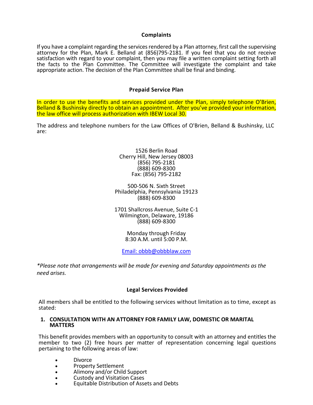#### **Complaints**

If you have a complaint regarding the services rendered by a Plan attorney, first call the supervising attorney for the Plan, Mark E. Belland at (856)795-2181. If you feel that you do not receive satisfaction with regard to your complaint, then you may file a written complaint setting forth all the facts to the Plan Committee. The Committee will investigate the complaint and take appropriate action. The decision of the Plan Committee shall be final and binding.

#### **Prepaid Service Plan**

In order to use the benefits and services provided under the Plan, simply telephone O'Brien, Belland & Bushinsky directly to obtain an appointment. After you've provided your information, the law office will process authorization with IBEW Local 30.

The address and telephone numbers for the Law Offices of O'Brien, Belland & Bushinsky, LLC are:

> 1526 Berlin Road Cherry Hill, New Jersey 08003 (856) 795-2181 (888) 609-8300 Fax: (856) 795-2182

500-506 N. Sixth Street Philadelphia, Pennsylvania 19123 (888) 609-8300

1701 Shallcross Avenue, Suite C-1 Wilmington, Delaware, 19186 (888) 609-8300

> Monday through Friday 8:30 A.M. until 5:00 P.M.

Email: obbb@obbblaw.com

*\*Please note that arrangements will be made for evening and Saturday appointments as the need arises.*

#### **Legal Services Provided**

All members shall be entitled to the following services without limitation as to time, except as stated:

#### **1. CONSULTATION WITH AN ATTORNEY FOR FAMILY LAW, DOMESTIC OR MARITAL MATTERS**

This benefit provides members with an opportunity to consult with an attorney and entitles the member to two (2) free hours per matter of representation concerning legal questions pertaining to the following areas of law:

- Divorce
- Property Settlement
- Alimony and/or Child Support
- Custody and Visitation Cases
- Equitable Distribution of Assets and Debts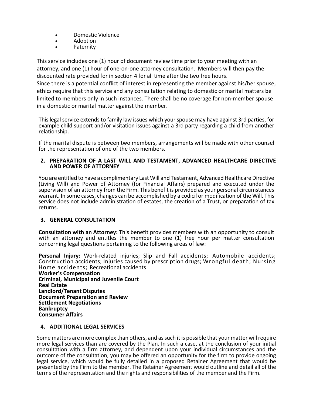- Domestic Violence
- Adoption
- Paternity

This service includes one (1) hour of document review time prior to your meeting with an attorney, and one (1) hour of one-on-one attorney consultation. Members will then pay the discounted rate provided for in section 4 for all time after the two free hours.

Since there is a potential conflict of interest in representing the member against his/her spouse, ethics require that this service and any consultation relating to domestic or marital matters be limited to members only in such instances. There shall be no coverage for non-member spouse in a domestic or marital matter against the member.

This legal service extends to family law issues which your spouse may have against 3rd parties, for example child support and/or visitation issues against a 3rd party regarding a child from another relationship.

If the marital dispute is between two members, arrangements will be made with other counsel for the representation of one of the two members.

#### **2. PREPARATION OF A LAST WILL AND TESTAMENT, ADVANCED HEALTHCARE DIRECTIVE AND POWER OF ATTORNEY**

You are entitled to have a complimentary Last Will and Testament, Advanced Healthcare Directive (Living Will) and Power of Attorney (for Financial Affairs) prepared and executed under the supervision of an attorney from the Firm. This benefit is provided as your personal circumstances warrant. In some cases, changes can be accomplished by a codicil or modification of the Will. This service does not include administration of estates, the creation of a Trust, or preparation of tax returns.

# **3. GENERAL CONSULTATION**

**Consultation with an Attorney:** This benefit provides members with an opportunity to consult with an attorney and entitles the member to one (1) free hour per matter consultation concerning legal questions pertaining to the following areas of law:

Personal Injury: Work-related injuries; Slip and Fall accidents; Automobile accidents; Construction accidents; Injuries caused by prescription drugs; Wrongful death; Nursing Home accidents; Recreational accidents

**Worker's Compensation Criminal, Municipal and Juvenile Court Real Estate Landlord/Tenant Disputes Document Preparation and Review Settlement Negotiations Bankruptcy Consumer Affairs**

#### **4. ADDITIONAL LEGAL SERVICES**

Some matters are more complex than others, and as such it is possible that your matter will require more legal services than are covered by the Plan. In such a case, at the conclusion of your initial consultation with a firm attorney, and dependent upon your individual circumstances and the outcome of the consultation, you may be offered an opportunity for the firm to provide ongoing legal service, which would be fully detailed in a proposed Retainer Agreement that would be presented by the Firm to the member. The Retainer Agreement would outline and detail all of the terms of the representation and the rights and responsibilities of the member and the Firm.